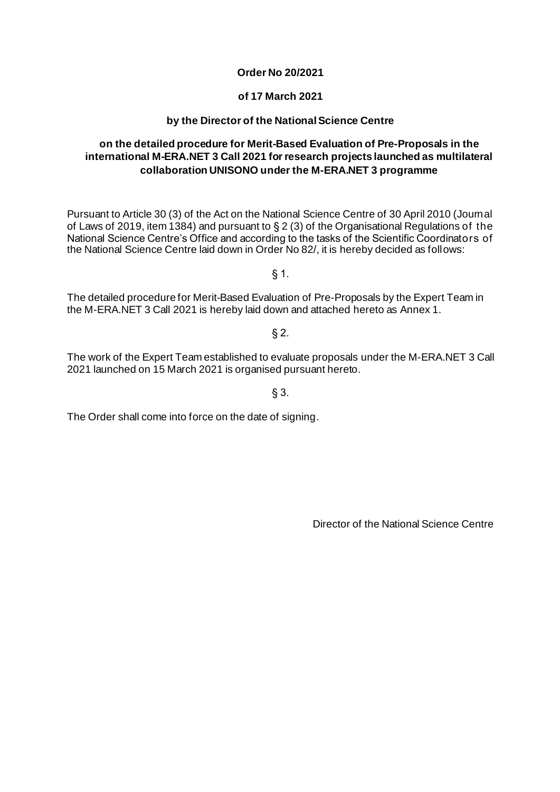# **Order No 20/2021**

# **of 17 March 2021**

# **by the Director of the National Science Centre**

# **on the detailed procedure for Merit-Based Evaluation of Pre-Proposals in the international M-ERA.NET 3 Call 2021 for research projects launched as multilateral collaboration UNISONO under the M-ERA.NET 3 programme**

Pursuant to Article 30 (3) of the Act on the National Science Centre of 30 April 2010 (Journal of Laws of 2019, item 1384) and pursuant to § 2 (3) of the Organisational Regulations of the National Science Centre's Office and according to the tasks of the Scientific Coordinators of the National Science Centre laid down in Order No 82/, it is hereby decided as follows:

§ 1.

The detailed procedure for Merit-Based Evaluation of Pre-Proposals by the Expert Team in the M-ERA.NET 3 Call 2021 is hereby laid down and attached hereto as Annex 1.

 $§$  2.

The work of the Expert Team established to evaluate proposals under the M-ERA.NET 3 Call 2021 launched on 15 March 2021 is organised pursuant hereto.

§ 3.

The Order shall come into force on the date of signing.

Director of the National Science Centre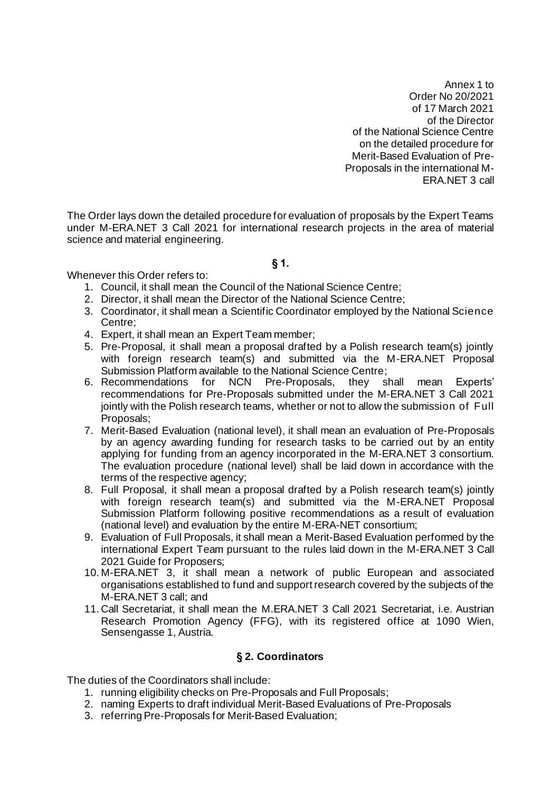Annex 1 to Order No 20/2021 of 17 March 2021 of the Director of the National Science Centre on the detailed procedure for Merit-Based Evaluation of Pre-Proposals in the international M-ERA.NET 3 call

The Order lays down the detailed procedure for evaluation of proposals by the Expert Teams under M-ERA.NET 3 Call 2021 for international research projects in the area of material science and material engineering.

#### **§ 1.**

Whenever this Order refers to:

- 1. Council, it shall mean the Council of the National Science Centre;
- 2. Director, it shall mean the Director of the National Science Centre;
- 3. Coordinator, it shall mean a Scientific Coordinator employed by the National Science Centre;
- 4. Expert, it shall mean an Expert Team member;
- 5. Pre-Proposal, it shall mean a proposal drafted by a Polish research team(s) jointly with foreign research team(s) and submitted via the M-ERA.NET Proposal Submission Platform available to the National Science Centre;<br>Recommendations for NCN Pre-Proposals, they sl
- 6. Recommendations for NCN Pre-Proposals, they shall mean Experts' recommendations for Pre-Proposals submitted under the M-ERA.NET 3 Call 2021 jointly with the Polish research teams, whether or not to allow the submission of Full Proposals;
- 7. Merit-Based Evaluation (national level), it shall mean an evaluation of Pre-Proposals by an agency awarding funding for research tasks to be carried out by an entity applying for funding from an agency incorporated in the M-ERA.NET 3 consortium. The evaluation procedure (national level) shall be laid down in accordance with the terms of the respective agency;
- 8. Full Proposal, it shall mean a proposal drafted by a Polish research team(s) jointly with foreign research team(s) and submitted via the M-ERA.NET Proposal Submission Platform following positive recommendations as a result of evaluation (national level) and evaluation by the entire M-ERA-NET consortium;
- 9. Evaluation of Full Proposals, it shall mean a Merit-Based Evaluation performed by the international Expert Team pursuant to the rules laid down in the M-ERA.NET 3 Call 2021 Guide for Proposers;
- 10. M-ERA.NET 3, it shall mean a network of public European and associated organisations established to fund and support research covered by the subjects of the M-ERA.NET 3 call; and
- 11. Call Secretariat, it shall mean the M.ERA.NET 3 Call 2021 Secretariat, i.e. Austrian Research Promotion Agency (FFG), with its registered office at 1090 Wien, Sensengasse 1, Austria.

### **§ 2. Coordinators**

The duties of the Coordinators shall include:

- 1. running eligibility checks on Pre-Proposals and Full Proposals;
- 2. naming Experts to draft individual Merit-Based Evaluations of Pre-Proposals
- 3. referring Pre-Proposals for Merit-Based Evaluation;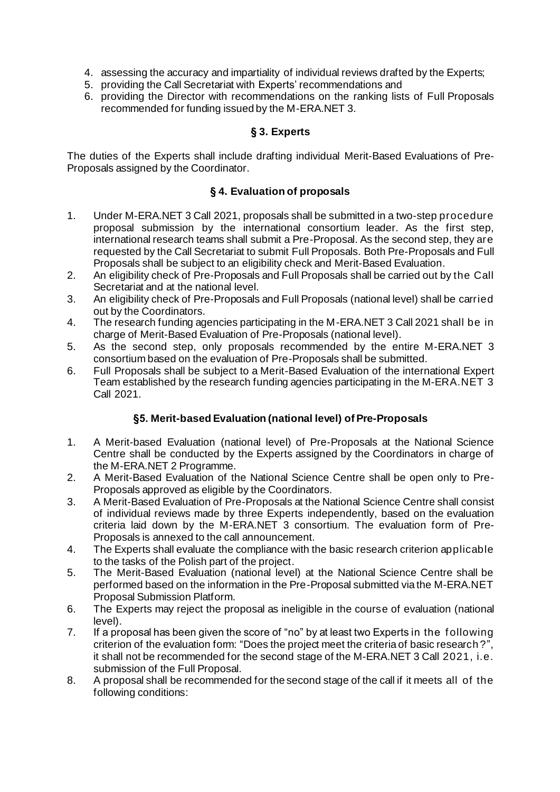- 4. assessing the accuracy and impartiality of individual reviews drafted by the Experts;
- 5. providing the Call Secretariat with Experts' recommendations and
- 6. providing the Director with recommendations on the ranking lists of Full Proposals recommended for funding issued by the M-ERA.NET 3.

# **§ 3. Experts**

The duties of the Experts shall include drafting individual Merit-Based Evaluations of Pre-Proposals assigned by the Coordinator.

# **§ 4. Evaluation of proposals**

- 1. Under M-ERA.NET 3 Call 2021, proposals shall be submitted in a two-step procedure proposal submission by the international consortium leader. As the first step, international research teams shall submit a Pre-Proposal. As the second step, they are requested by the Call Secretariat to submit Full Proposals. Both Pre-Proposals and Full Proposals shall be subject to an eligibility check and Merit-Based Evaluation.
- 2. An eligibility check of Pre-Proposals and Full Proposals shall be carried out by the Call Secretariat and at the national level.
- 3. An eligibility check of Pre-Proposals and Full Proposals (national level) shall be carried out by the Coordinators.
- 4. The research funding agencies participating in the M-ERA.NET 3 Call 2021 shall be in charge of Merit-Based Evaluation of Pre-Proposals (national level).
- 5. As the second step, only proposals recommended by the entire M-ERA.NET 3 consortium based on the evaluation of Pre-Proposals shall be submitted.
- 6. Full Proposals shall be subject to a Merit-Based Evaluation of the international Expert Team established by the research funding agencies participating in the M-ERA.NET 3 Call 2021.

# **§5. Merit-based Evaluation (national level) of Pre-Proposals**

- 1. A Merit-based Evaluation (national level) of Pre-Proposals at the National Science Centre shall be conducted by the Experts assigned by the Coordinators in charge of the M-ERA.NET 2 Programme.
- 2. A Merit-Based Evaluation of the National Science Centre shall be open only to Pre-Proposals approved as eligible by the Coordinators.
- 3. A Merit-Based Evaluation of Pre-Proposals at the National Science Centre shall consist of individual reviews made by three Experts independently, based on the evaluation criteria laid down by the M-ERA.NET 3 consortium. The evaluation form of Pre-Proposals is annexed to the call announcement.
- 4. The Experts shall evaluate the compliance with the basic research criterion applicable to the tasks of the Polish part of the project.
- 5. The Merit-Based Evaluation (national level) at the National Science Centre shall be performed based on the information in the Pre-Proposal submitted via the M-ERA.NET Proposal Submission Platform.
- 6. The Experts may reject the proposal as ineligible in the course of evaluation (national level).
- 7. If a proposal has been given the score of "no" by at least two Experts in the f ollowing criterion of the evaluation form: "Does the project meet the criteria of basic research ?", it shall not be recommended for the second stage of the M-ERA.NET 3 Call 2021, i.e. submission of the Full Proposal.
- 8. A proposal shall be recommended for the second stage of the call if it meets all of the following conditions: